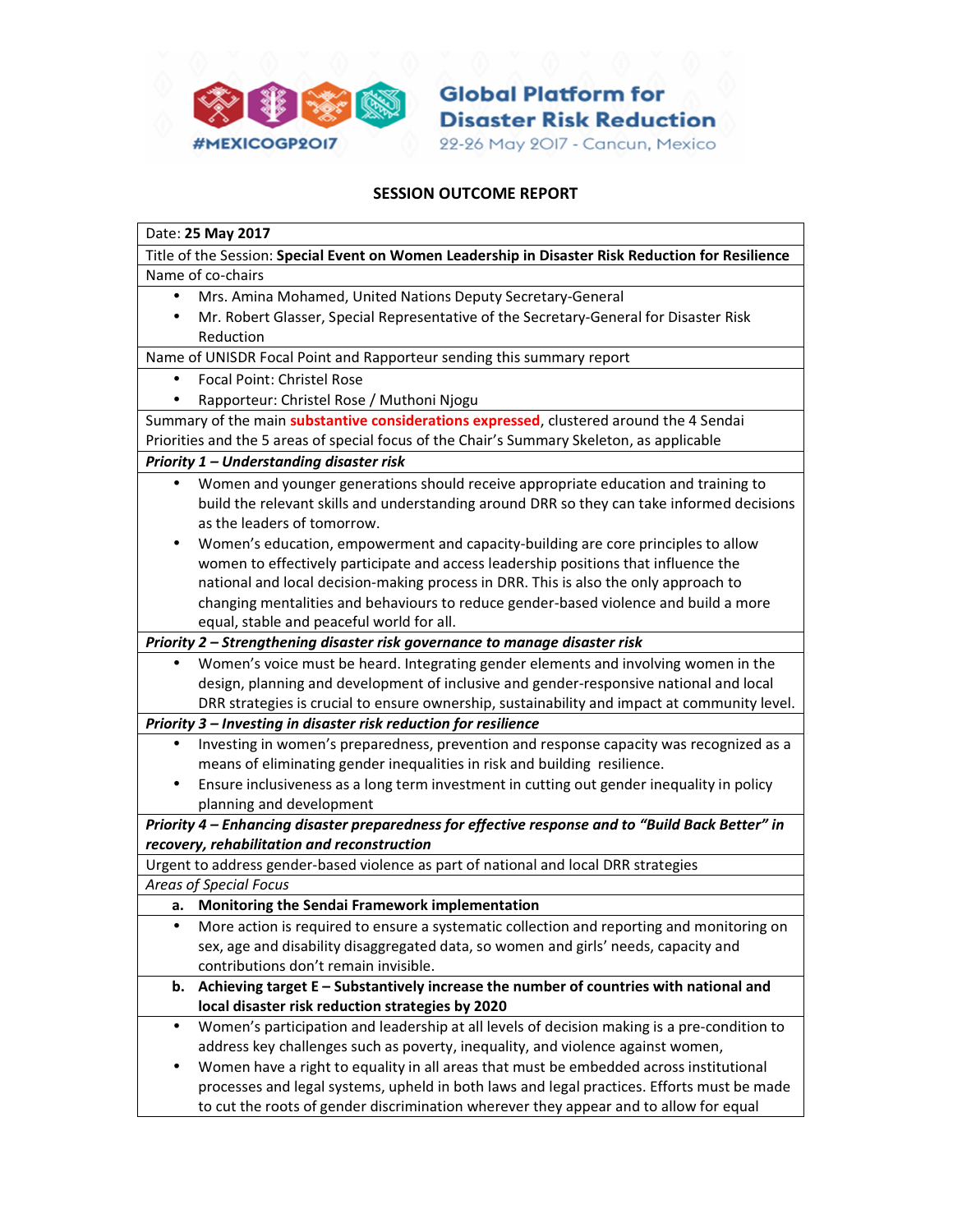

**Global Platform for Disaster Risk Reduction** 22-26 May 2017 - Cancun, Mexico

## SESSION OUTCOME REPORT

| Date: 25 May 2017                                                                                                                                |
|--------------------------------------------------------------------------------------------------------------------------------------------------|
| Title of the Session: Special Event on Women Leadership in Disaster Risk Reduction for Resilience                                                |
| Name of co-chairs                                                                                                                                |
| Mrs. Amina Mohamed, United Nations Deputy Secretary-General<br>$\bullet$                                                                         |
| Mr. Robert Glasser, Special Representative of the Secretary-General for Disaster Risk                                                            |
| Reduction                                                                                                                                        |
| Name of UNISDR Focal Point and Rapporteur sending this summary report                                                                            |
| <b>Focal Point: Christel Rose</b><br>٠                                                                                                           |
| Rapporteur: Christel Rose / Muthoni Njogu                                                                                                        |
| Summary of the main substantive considerations expressed, clustered around the 4 Sendai                                                          |
| Priorities and the 5 areas of special focus of the Chair's Summary Skeleton, as applicable                                                       |
| Priority 1 - Understanding disaster risk                                                                                                         |
| Women and younger generations should receive appropriate education and training to<br>$\bullet$                                                  |
| build the relevant skills and understanding around DRR so they can take informed decisions                                                       |
| as the leaders of tomorrow.                                                                                                                      |
| Women's education, empowerment and capacity-building are core principles to allow                                                                |
| women to effectively participate and access leadership positions that influence the                                                              |
| national and local decision-making process in DRR. This is also the only approach to                                                             |
| changing mentalities and behaviours to reduce gender-based violence and build a more                                                             |
| equal, stable and peaceful world for all.                                                                                                        |
| Priority 2 – Strengthening disaster risk governance to manage disaster risk                                                                      |
| Women's voice must be heard. Integrating gender elements and involving women in the<br>٠                                                         |
| design, planning and development of inclusive and gender-responsive national and local                                                           |
| DRR strategies is crucial to ensure ownership, sustainability and impact at community level.                                                     |
| Priority 3 - Investing in disaster risk reduction for resilience                                                                                 |
| Investing in women's preparedness, prevention and response capacity was recognized as a<br>$\bullet$                                             |
| means of eliminating gender inequalities in risk and building resilience.                                                                        |
| Ensure inclusiveness as a long term investment in cutting out gender inequality in policy<br>$\bullet$                                           |
| planning and development                                                                                                                         |
| Priority 4 - Enhancing disaster preparedness for effective response and to "Build Back Better" in<br>recovery, rehabilitation and reconstruction |
| Urgent to address gender-based violence as part of national and local DRR strategies                                                             |
| <b>Areas of Special Focus</b>                                                                                                                    |
| a. Monitoring the Sendai Framework implementation                                                                                                |
| More action is required to ensure a systematic collection and reporting and monitoring on                                                        |
| sex, age and disability disaggregated data, so women and girls' needs, capacity and                                                              |
| contributions don't remain invisible.                                                                                                            |
| Achieving target E - Substantively increase the number of countries with national and<br>b.                                                      |
| local disaster risk reduction strategies by 2020                                                                                                 |
| Women's participation and leadership at all levels of decision making is a pre-condition to<br>$\bullet$                                         |
| address key challenges such as poverty, inequality, and violence against women,                                                                  |
| Women have a right to equality in all areas that must be embedded across institutional                                                           |
| processes and legal systems, upheld in both laws and legal practices. Efforts must be made                                                       |
| to cut the roots of gender discrimination wherever they appear and to allow for equal                                                            |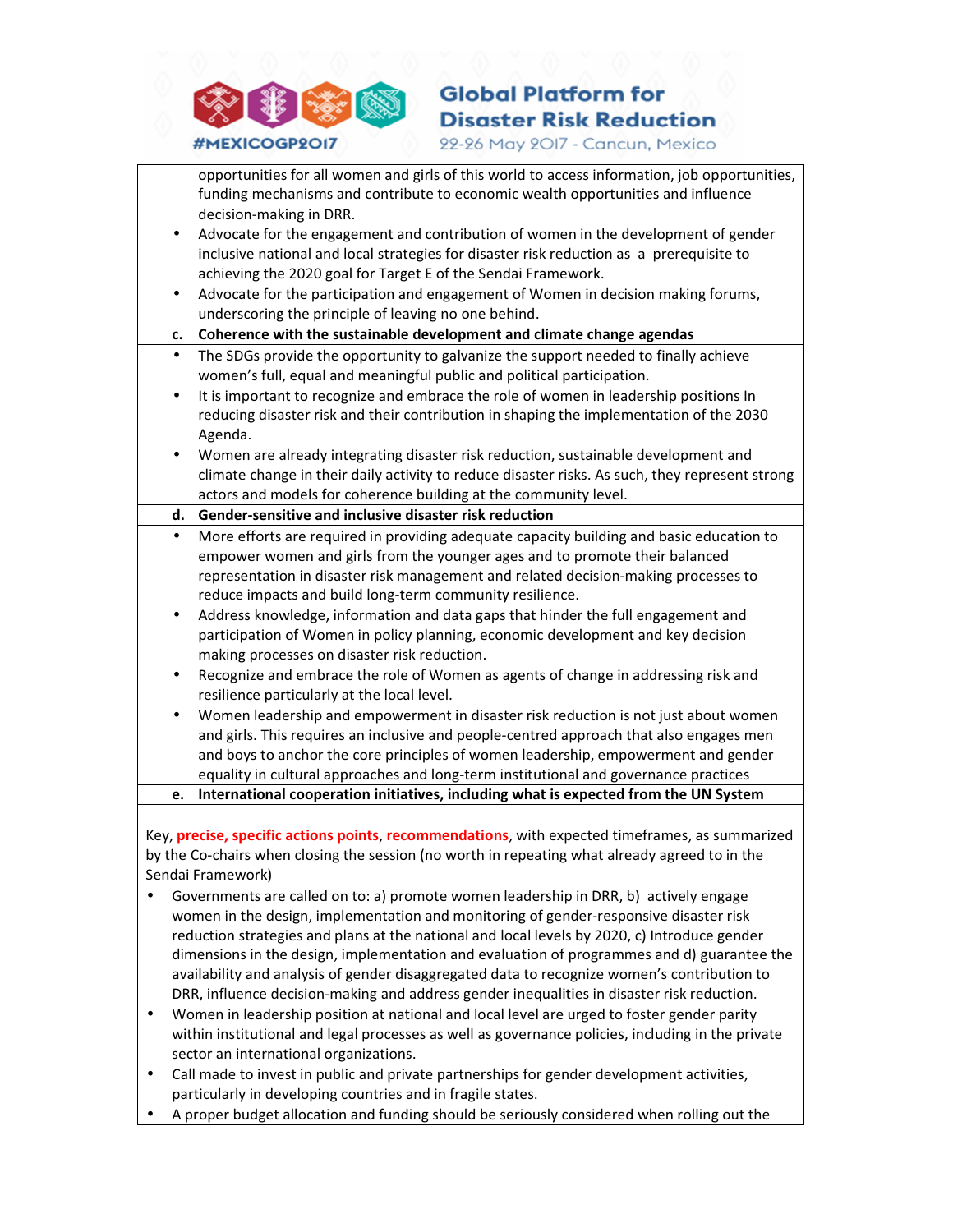

## **Global Platform for Disaster Risk Reduction**

22-26 May 2017 - Cancun, Mexico

opportunities for all women and girls of this world to access information, job opportunities, funding mechanisms and contribute to economic wealth opportunities and influence decision-making in DRR.

- Advocate for the engagement and contribution of women in the development of gender inclusive national and local strategies for disaster risk reduction as a prerequisite to achieving the 2020 goal for Target E of the Sendai Framework.
- Advocate for the participation and engagement of Women in decision making forums, underscoring the principle of leaving no one behind.

c. Coherence with the sustainable development and climate change agendas

- The SDGs provide the opportunity to galvanize the support needed to finally achieve women's full, equal and meaningful public and political participation.
- It is important to recognize and embrace the role of women in leadership positions In reducing disaster risk and their contribution in shaping the implementation of the 2030 Agenda.
- Women are already integrating disaster risk reduction, sustainable development and climate change in their daily activity to reduce disaster risks. As such, they represent strong actors and models for coherence building at the community level.

d. Gender-sensitive and inclusive disaster risk reduction

- More efforts are required in providing adequate capacity building and basic education to empower women and girls from the younger ages and to promote their balanced representation in disaster risk management and related decision-making processes to reduce impacts and build long-term community resilience.
- Address knowledge, information and data gaps that hinder the full engagement and participation of Women in policy planning, economic development and key decision making processes on disaster risk reduction.
- Recognize and embrace the role of Women as agents of change in addressing risk and resilience particularly at the local level.
- Women leadership and empowerment in disaster risk reduction is not just about women and girls. This requires an inclusive and people-centred approach that also engages men and boys to anchor the core principles of women leadership, empowerment and gender equality in cultural approaches and long-term institutional and governance practices
- e. International cooperation initiatives, including what is expected from the UN System

Key, **precise, specific actions points, recommendations**, with expected timeframes, as summarized by the Co-chairs when closing the session (no worth in repeating what already agreed to in the Sendai Framework)

- Governments are called on to: a) promote women leadership in DRR, b) actively engage women in the design, implementation and monitoring of gender-responsive disaster risk reduction strategies and plans at the national and local levels by 2020, c) Introduce gender dimensions in the design, implementation and evaluation of programmes and d) guarantee the availability and analysis of gender disaggregated data to recognize women's contribution to DRR, influence decision-making and address gender inequalities in disaster risk reduction.
- Women in leadership position at national and local level are urged to foster gender parity within institutional and legal processes as well as governance policies, including in the private sector an international organizations.
- Call made to invest in public and private partnerships for gender development activities, particularly in developing countries and in fragile states.
- A proper budget allocation and funding should be seriously considered when rolling out the